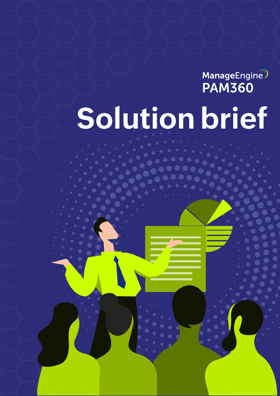**Solution brief** ManageEngine

PAM360 - Solution brief 1980 - Solution brief 1980 - Solution brief 1980 - Solution brief 1980 - Solution bri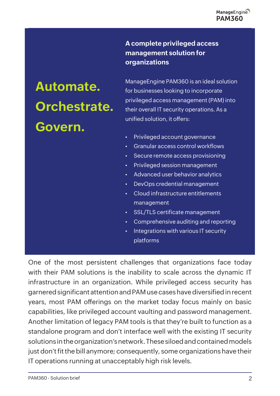## **A complete privileged access management solution for organizations**

# **Automate. Orchestrate. Govern.**

ManageEngine PAM360 is an ideal solution for businesses looking to incorporate privileged access management (PAM) into their overall IT security operations. As a unified solution, it offers:

- Privileged account governance
- Granular access control workflows
- Secure remote access provisioning
- Privileged session management
- Advanced user behavior analytics
- DevOps credential management
- Cloud infrastructure entitlements management
- SSL/TLS certificate management
- Comprehensive auditing and reporting
- Integrations with various IT security platforms

One of the most persistent challenges that organizations face today with their PAM solutions is the inability to scale across the dynamic IT infrastructure in an organization. While privileged access security has garnered significant attention and PAM use cases have diversified in recent years, most PAM offerings on the market today focus mainly on basic capabilities, like privileged account vaulting and password management. Another limitation of legacy PAM tools is that they're built to function as a standalone program and don't interface well with the existing IT security solutions in the organization's network. These siloed and contained models just don't fit the bill anymore; consequently, some organizations have their IT operations running at unacceptably high risk levels.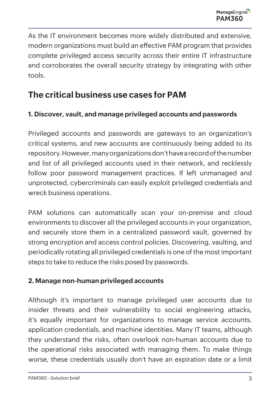As the IT environment becomes more widely distributed and extensive, modern organizations must build an effective PAM program that provides complete privileged access security across their entire IT infrastructure and corroborates the overall security strategy by integrating with other tools.

# **The critical business use cases for PAM**

## **1. Discover, vault, and manage privileged accounts and passwords**

Privileged accounts and passwords are gateways to an organization's critical systems, and new accounts are continuously being added to its repository. However, many organizations don't have a record of the number and list of all privileged accounts used in their network, and recklessly follow poor password management practices. If left unmanaged and unprotected, cybercriminals can easily exploit privileged credentials and wreck business operations.

PAM solutions can automatically scan your on-premise and cloud environments to discover all the privileged accounts in your organization, and securely store them in a centralized password vault, governed by strong encryption and access control policies. Discovering, vaulting, and periodically rotating all privileged credentials is one of the most important steps to take to reduce the risks posed by passwords.

#### **2. Manage non-human privileged accounts**

Although it's important to manage privileged user accounts due to insider threats and their vulnerability to social engineering attacks, it's equally important for organizations to manage service accounts, application credentials, and machine identities. Many IT teams, although they understand the risks, often overlook non-human accounts due to the operational risks associated with managing them. To make things worse, these credentials usually don't have an expiration date or a limit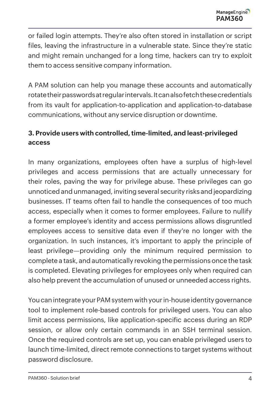or failed login attempts. They're also often stored in installation or script files, leaving the infrastructure in a vulnerable state. Since they're static and might remain unchanged for a long time, hackers can try to exploit them to access sensitive company information.

A PAM solution can help you manage these accounts and automatically rotate their passwords at regular intervals. It can also fetch these credentials from its vault for application-to-application and application-to-database communications, without any service disruption or downtime.

# **3. Provide users with controlled, time-limited, and least-privileged access**

In many organizations, employees often have a surplus of high-level privileges and access permissions that are actually unnecessary for their roles, paving the way for privilege abuse. These privileges can go unnoticed and unmanaged, inviting several security risks and jeopardizing businesses. IT teams often fail to handle the consequences of too much access, especially when it comes to former employees. Failure to nullify a former employee's identity and access permissions allows disgruntled employees access to sensitive data even if they're no longer with the organization. In such instances, it's important to apply the principle of least privilege—providing only the minimum required permission to complete a task, and automatically revoking the permissions once the task is completed. Elevating privileges for employees only when required can also help prevent the accumulation of unused or unneeded access rights.

You can integrate your PAM system with your in-house identity governance tool to implement role-based controls for privileged users. You can also limit access permissions, like application-specific access during an RDP session, or allow only certain commands in an SSH terminal session. Once the required controls are set up, you can enable privileged users to launch time-limited, direct remote connections to target systems without password disclosure.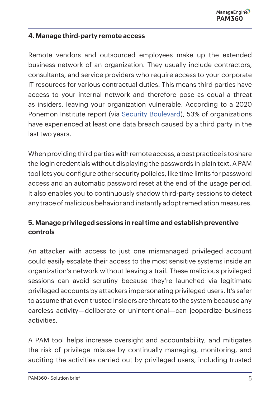#### **4. Manage third-party remote access**

Remote vendors and outsourced employees make up the extended business network of an organization. They usually include contractors, consultants, and service providers who require access to your corporate IT resources for various contractual duties. This means third parties have access to your internal network and therefore pose as equal a threat as insiders, leaving your organization vulnerable. According to a 2020 Ponemon Institute report (via [Security Boulevard](https://securityboulevard.com/2020/06/automation-in-compliance-why-its-a-business-imperative-and-where-to-start/)), 53% of organizations have experienced at least one data breach caused by a third party in the last two years.

When providing third parties with remote access, a best practice is to share the login credentials without displaying the passwords in plain text. A PAM tool lets you configure other security policies, like time limits for password access and an automatic password reset at the end of the usage period. It also enables you to continuously shadow third-party sessions to detect any trace of malicious behavior and instantly adopt remediation measures.

# **5. Manage privileged sessions in real time and establish preventive controls**

An attacker with access to just one mismanaged privileged account could easily escalate their access to the most sensitive systems inside an organization's network without leaving a trail. These malicious privileged sessions can avoid scrutiny because they're launched via legitimate privileged accounts by attackers impersonating privileged users. It's safer to assume that even trusted insiders are threats to the system because any careless activity—deliberate or unintentional—can jeopardize business activities.

A PAM tool helps increase oversight and accountability, and mitigates the risk of privilege misuse by continually managing, monitoring, and auditing the activities carried out by privileged users, including trusted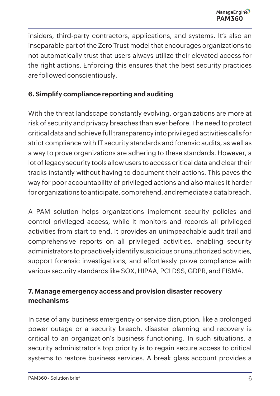insiders, third-party contractors, applications, and systems. It's also an inseparable part of the Zero Trust model that encourages organizations to not automatically trust that users always utilize their elevated access for the right actions. Enforcing this ensures that the best security practices are followed conscientiously.

#### **6. Simplify compliance reporting and auditing**

With the threat landscape constantly evolving, organizations are more at risk of security and privacy breaches than ever before. The need to protect critical data and achieve full transparency into privileged activities calls for strict compliance with IT security standards and forensic audits, as well as a way to prove organizations are adhering to these standards. However, a lot of legacy security tools allow users to access critical data and clear their tracks instantly without having to document their actions. This paves the way for poor accountability of privileged actions and also makes it harder for organizations to anticipate, comprehend, and remediate a data breach.

A PAM solution helps organizations implement security policies and control privileged access, while it monitors and records all privileged activities from start to end. It provides an unimpeachable audit trail and comprehensive reports on all privileged activities, enabling security administrators to proactively identify suspicious or unauthorized activities, support forensic investigations, and effortlessly prove compliance with various security standards like SOX, HIPAA, PCI DSS, GDPR, and FISMA.

#### **7. Manage emergency access and provision disaster recovery mechanisms**

In case of any business emergency or service disruption, like a prolonged power outage or a security breach, disaster planning and recovery is critical to an organization's business functioning. In such situations, a security administrator's top priority is to regain secure access to critical systems to restore business services. A break glass account provides a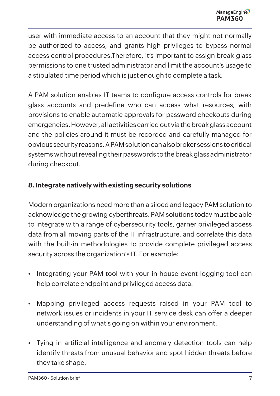user with immediate access to an account that they might not normally be authorized to access, and grants high privileges to bypass normal access control procedures.Therefore, it's important to assign break-glass permissions to one trusted administrator and limit the account's usage to a stipulated time period which is just enough to complete a task.

A PAM solution enables IT teams to configure access controls for break glass accounts and predefine who can access what resources, with provisions to enable automatic approvals for password checkouts during emergencies. However, all activities carried out via the break glass account and the policies around it must be recorded and carefully managed for obvious security reasons. A PAM solution can also broker sessions to critical systems without revealing their passwords to the break glass administrator during checkout.

## **8. Integrate natively with existing security solutions**

Modern organizations need more than a siloed and legacy PAM solution to acknowledge the growing cyberthreats. PAM solutions today must be able to integrate with a range of cybersecurity tools, garner privileged access data from all moving parts of the IT infrastructure, and correlate this data with the built-in methodologies to provide complete privileged access security across the organization's IT. For example:

- Integrating your PAM tool with your in-house event logging tool can help correlate endpoint and privileged access data.
- Mapping privileged access requests raised in your PAM tool to network issues or incidents in your IT service desk can offer a deeper understanding of what's going on within your environment.
- Tying in artificial intelligence and anomaly detection tools can help identify threats from unusual behavior and spot hidden threats before they take shape.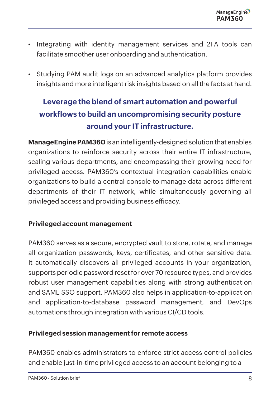- Integrating with identity management services and 2FA tools can facilitate smoother user onboarding and authentication.
- Studying PAM audit logs on an advanced analytics platform provides insights and more intelligent risk insights based on all the facts at hand.

# **Leverage the blend of smart automation and powerful workflows to build an uncompromising security posture around your IT infrastructure.**

**[ManageEngine PAM360](https://www.manageengine.com/privileged-access-management/)** is an intelligently-designed solution that enables organizations to reinforce security across their entire IT infrastructure, scaling various departments, and encompassing their growing need for privileged access. PAM360's contextual integration capabilities enable organizations to build a central console to manage data across different departments of their IT network, while simultaneously governing all privileged access and providing business efficacy.

#### **Privileged account management**

PAM360 serves as a secure, encrypted vault to store, rotate, and manage all organization passwords, keys, certificates, and other sensitive data. It automatically discovers all privileged accounts in your organization, supports periodic password reset for over 70 resource types, and provides robust user management capabilities along with strong authentication and SAML SSO support. PAM360 also helps in application-to-application and application-to-database password management, and DevOps automations through integration with various CI/CD tools.

#### **Privileged session management for remote access**

PAM360 enables administrators to enforce strict access control policies and enable just-in-time privileged access to an account belonging to a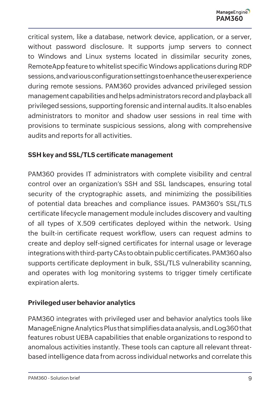critical system, like a database, network device, application, or a server, without password disclosure. It supports jump servers to connect to Windows and Linux systems located in dissimilar security zones, RemoteApp feature to whitelist specific Windows applications during RDP sessions, and various configuration settings to enhance the user experience during remote sessions. PAM360 provides advanced privileged session management capabilities and helps administrators record and playback all privileged sessions, supporting forensic and internal audits. It also enables administrators to monitor and shadow user sessions in real time with provisions to terminate suspicious sessions, along with comprehensive audits and reports for all activities.

#### **SSH key and SSL/TLS certificate management**

PAM360 provides IT administrators with complete visibility and central control over an organization's SSH and SSL landscapes, ensuring total security of the cryptographic assets, and minimizing the possibilities of potential data breaches and compliance issues. PAM360's SSL/TLS certificate lifecycle management module includes discovery and vaulting of all types of X.509 certificates deployed within the network. Using the built-in certificate request workflow, users can request admins to create and deploy self-signed certificates for internal usage or leverage integrations with third-party CAs to obtain public certificates. PAM360 also supports certificate deployment in bulk, SSL/TLS vulnerability scanning, and operates with log monitoring systems to trigger timely certificate expiration alerts.

#### **Privileged user behavior analytics**

PAM360 integrates with privileged user and behavior analytics tools like ManageEnigne Analytics Plus that simplifies data analysis, and Log360 that features robust UEBA capabilities that enable organizations to respond to anomalous activities instantly. These tools can capture all relevant threatbased intelligence data from across individual networks and correlate this